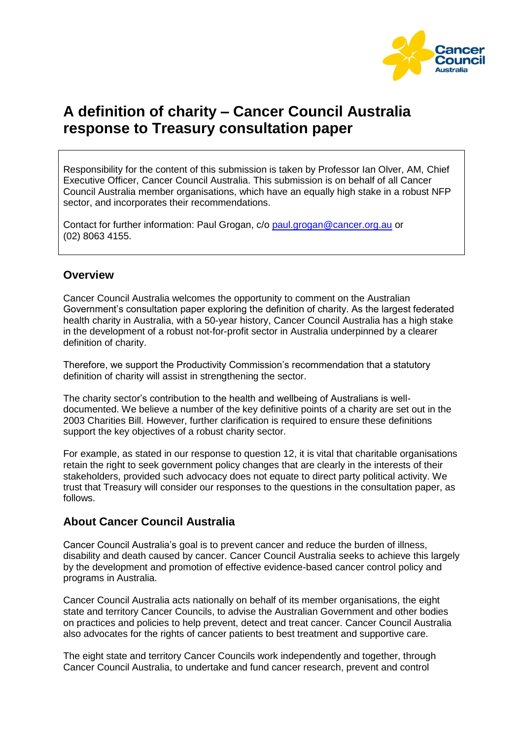

# **A definition of charity – Cancer Council Australia response to Treasury consultation paper**

Responsibility for the content of this submission is taken by Professor Ian Olver, AM, Chief Executive Officer, Cancer Council Australia. This submission is on behalf of all Cancer Council Australia member organisations, which have an equally high stake in a robust NFP sector, and incorporates their recommendations.

Contact for further information: Paul Grogan, c/o [paul.grogan@cancer.org.au](mailto:paul.grogan@cancer.org.au) or (02) 8063 4155.

## **Overview**

Cancer Council Australia welcomes the opportunity to comment on the Australian Government"s consultation paper exploring the definition of charity. As the largest federated health charity in Australia, with a 50-year history, Cancer Council Australia has a high stake in the development of a robust not-for-profit sector in Australia underpinned by a clearer definition of charity.

Therefore, we support the Productivity Commission"s recommendation that a statutory definition of charity will assist in strengthening the sector.

The charity sector"s contribution to the health and wellbeing of Australians is welldocumented. We believe a number of the key definitive points of a charity are set out in the 2003 Charities Bill. However, further clarification is required to ensure these definitions support the key objectives of a robust charity sector.

For example, as stated in our response to question 12, it is vital that charitable organisations retain the right to seek government policy changes that are clearly in the interests of their stakeholders, provided such advocacy does not equate to direct party political activity. We trust that Treasury will consider our responses to the questions in the consultation paper, as follows.

# **About Cancer Council Australia**

Cancer Council Australia"s goal is to prevent cancer and reduce the burden of illness, disability and death caused by cancer. Cancer Council Australia seeks to achieve this largely by the development and promotion of effective evidence-based cancer control policy and programs in Australia.

Cancer Council Australia acts nationally on behalf of its member organisations, the eight state and territory Cancer Councils, to advise the Australian Government and other bodies on practices and policies to help prevent, detect and treat cancer. Cancer Council Australia also advocates for the rights of cancer patients to best treatment and supportive care.

The eight state and territory Cancer Councils work independently and together, through Cancer Council Australia, to undertake and fund cancer research, prevent and control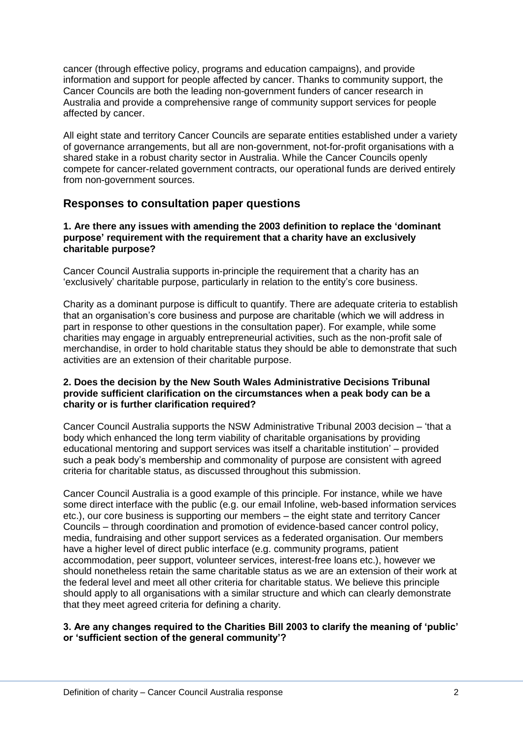cancer (through effective policy, programs and education campaigns), and provide information and support for people affected by cancer. Thanks to community support, the Cancer Councils are both the leading non-government funders of cancer research in Australia and provide a comprehensive range of community support services for people affected by cancer.

All eight state and territory Cancer Councils are separate entities established under a variety of governance arrangements, but all are non-government, not-for-profit organisations with a shared stake in a robust charity sector in Australia. While the Cancer Councils openly compete for cancer-related government contracts, our operational funds are derived entirely from non-government sources.

## **Responses to consultation paper questions**

#### **1. Are there any issues with amending the 2003 definition to replace the 'dominant purpose' requirement with the requirement that a charity have an exclusively charitable purpose?**

Cancer Council Australia supports in-principle the requirement that a charity has an "exclusively" charitable purpose, particularly in relation to the entity"s core business.

Charity as a dominant purpose is difficult to quantify. There are adequate criteria to establish that an organisation"s core business and purpose are charitable (which we will address in part in response to other questions in the consultation paper). For example, while some charities may engage in arguably entrepreneurial activities, such as the non-profit sale of merchandise, in order to hold charitable status they should be able to demonstrate that such activities are an extension of their charitable purpose.

#### **2. Does the decision by the New South Wales Administrative Decisions Tribunal provide sufficient clarification on the circumstances when a peak body can be a charity or is further clarification required?**

Cancer Council Australia supports the NSW Administrative Tribunal 2003 decision – "that a body which enhanced the long term viability of charitable organisations by providing educational mentoring and support services was itself a charitable institution" – provided such a peak body"s membership and commonality of purpose are consistent with agreed criteria for charitable status, as discussed throughout this submission.

Cancer Council Australia is a good example of this principle. For instance, while we have some direct interface with the public (e.g. our email Infoline, web-based information services etc.), our core business is supporting our members – the eight state and territory Cancer Councils – through coordination and promotion of evidence-based cancer control policy, media, fundraising and other support services as a federated organisation. Our members have a higher level of direct public interface (e.g. community programs, patient accommodation, peer support, volunteer services, interest-free loans etc.), however we should nonetheless retain the same charitable status as we are an extension of their work at the federal level and meet all other criteria for charitable status. We believe this principle should apply to all organisations with a similar structure and which can clearly demonstrate that they meet agreed criteria for defining a charity.

#### **3. Are any changes required to the Charities Bill 2003 to clarify the meaning of 'public' or 'sufficient section of the general community'?**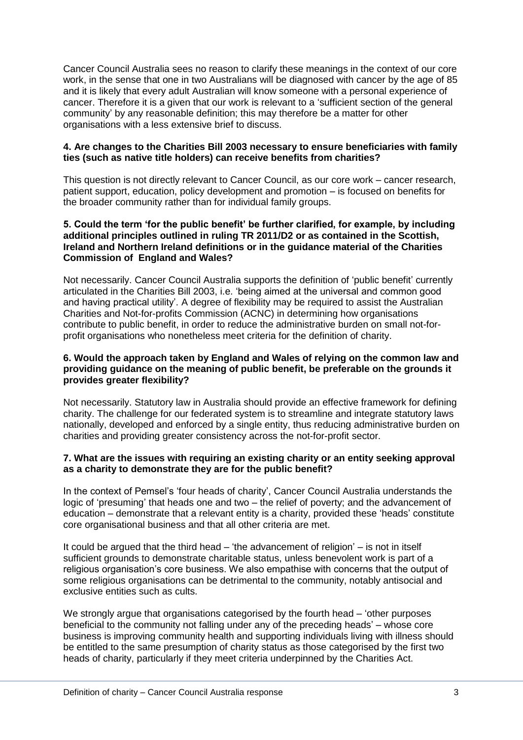Cancer Council Australia sees no reason to clarify these meanings in the context of our core work, in the sense that one in two Australians will be diagnosed with cancer by the age of 85 and it is likely that every adult Australian will know someone with a personal experience of cancer. Therefore it is a given that our work is relevant to a "sufficient section of the general community" by any reasonable definition; this may therefore be a matter for other organisations with a less extensive brief to discuss.

#### **4. Are changes to the Charities Bill 2003 necessary to ensure beneficiaries with family ties (such as native title holders) can receive benefits from charities?**

This question is not directly relevant to Cancer Council, as our core work – cancer research, patient support, education, policy development and promotion – is focused on benefits for the broader community rather than for individual family groups.

#### **5. Could the term 'for the public benefit' be further clarified, for example, by including additional principles outlined in ruling TR 2011/D2 or as contained in the Scottish, Ireland and Northern Ireland definitions or in the guidance material of the Charities Commission of England and Wales?**

Not necessarily. Cancer Council Australia supports the definition of 'public benefit' currently articulated in the Charities Bill 2003, i.e. "being aimed at the universal and common good and having practical utility'. A degree of flexibility may be required to assist the Australian Charities and Not-for-profits Commission (ACNC) in determining how organisations contribute to public benefit, in order to reduce the administrative burden on small not-forprofit organisations who nonetheless meet criteria for the definition of charity.

#### **6. Would the approach taken by England and Wales of relying on the common law and providing guidance on the meaning of public benefit, be preferable on the grounds it provides greater flexibility?**

Not necessarily. Statutory law in Australia should provide an effective framework for defining charity. The challenge for our federated system is to streamline and integrate statutory laws nationally, developed and enforced by a single entity, thus reducing administrative burden on charities and providing greater consistency across the not-for-profit sector.

#### **7. What are the issues with requiring an existing charity or an entity seeking approval as a charity to demonstrate they are for the public benefit?**

In the context of Pemsel's 'four heads of charity', Cancer Council Australia understands the logic of "presuming" that heads one and two – the relief of poverty; and the advancement of education – demonstrate that a relevant entity is a charity, provided these "heads" constitute core organisational business and that all other criteria are met.

It could be argued that the third head – 'the advancement of religion' – is not in itself sufficient grounds to demonstrate charitable status, unless benevolent work is part of a religious organisation"s core business. We also empathise with concerns that the output of some religious organisations can be detrimental to the community, notably antisocial and exclusive entities such as cults.

We strongly argue that organisations categorised by the fourth head – 'other purposes' beneficial to the community not falling under any of the preceding heads" – whose core business is improving community health and supporting individuals living with illness should be entitled to the same presumption of charity status as those categorised by the first two heads of charity, particularly if they meet criteria underpinned by the Charities Act.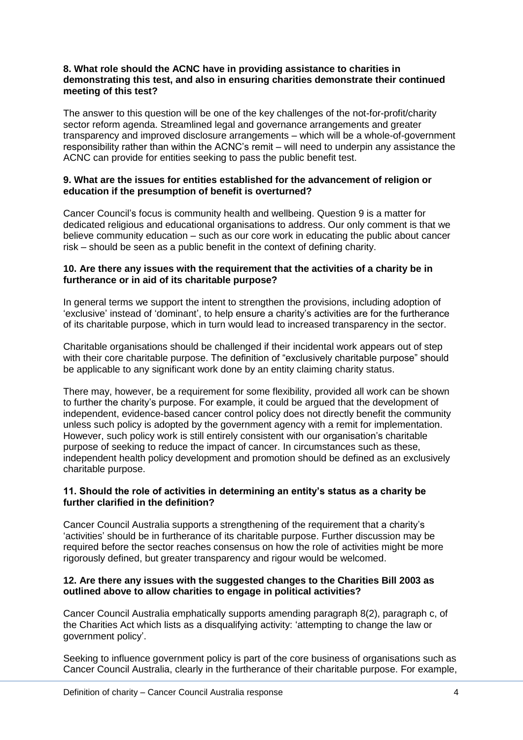#### **8. What role should the ACNC have in providing assistance to charities in demonstrating this test, and also in ensuring charities demonstrate their continued meeting of this test?**

The answer to this question will be one of the key challenges of the not-for-profit/charity sector reform agenda. Streamlined legal and governance arrangements and greater transparency and improved disclosure arrangements – which will be a whole-of-government responsibility rather than within the ACNC"s remit – will need to underpin any assistance the ACNC can provide for entities seeking to pass the public benefit test.

#### **9. What are the issues for entities established for the advancement of religion or education if the presumption of benefit is overturned?**

Cancer Council"s focus is community health and wellbeing. Question 9 is a matter for dedicated religious and educational organisations to address. Our only comment is that we believe community education – such as our core work in educating the public about cancer risk – should be seen as a public benefit in the context of defining charity.

#### **10. Are there any issues with the requirement that the activities of a charity be in furtherance or in aid of its charitable purpose?**

In general terms we support the intent to strengthen the provisions, including adoption of "exclusive" instead of "dominant", to help ensure a charity"s activities are for the furtherance of its charitable purpose, which in turn would lead to increased transparency in the sector.

Charitable organisations should be challenged if their incidental work appears out of step with their core charitable purpose. The definition of "exclusively charitable purpose" should be applicable to any significant work done by an entity claiming charity status.

There may, however, be a requirement for some flexibility, provided all work can be shown to further the charity"s purpose. For example, it could be argued that the development of independent, evidence-based cancer control policy does not directly benefit the community unless such policy is adopted by the government agency with a remit for implementation. However, such policy work is still entirely consistent with our organisation"s charitable purpose of seeking to reduce the impact of cancer. In circumstances such as these, independent health policy development and promotion should be defined as an exclusively charitable purpose.

#### **11. Should the role of activities in determining an entity's status as a charity be further clarified in the definition?**

Cancer Council Australia supports a strengthening of the requirement that a charity"s "activities" should be in furtherance of its charitable purpose. Further discussion may be required before the sector reaches consensus on how the role of activities might be more rigorously defined, but greater transparency and rigour would be welcomed.

#### **12. Are there any issues with the suggested changes to the Charities Bill 2003 as outlined above to allow charities to engage in political activities?**

Cancer Council Australia emphatically supports amending paragraph 8(2), paragraph c, of the Charities Act which lists as a disqualifying activity: "attempting to change the law or government policy".

Seeking to influence government policy is part of the core business of organisations such as Cancer Council Australia, clearly in the furtherance of their charitable purpose. For example,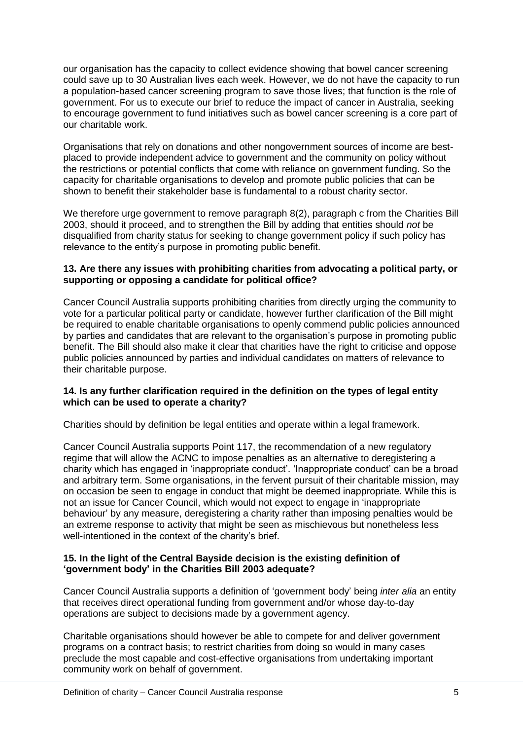our organisation has the capacity to collect evidence showing that bowel cancer screening could save up to 30 Australian lives each week. However, we do not have the capacity to run a population-based cancer screening program to save those lives; that function is the role of government. For us to execute our brief to reduce the impact of cancer in Australia, seeking to encourage government to fund initiatives such as bowel cancer screening is a core part of our charitable work.

Organisations that rely on donations and other nongovernment sources of income are bestplaced to provide independent advice to government and the community on policy without the restrictions or potential conflicts that come with reliance on government funding. So the capacity for charitable organisations to develop and promote public policies that can be shown to benefit their stakeholder base is fundamental to a robust charity sector.

We therefore urge government to remove paragraph 8(2), paragraph c from the Charities Bill 2003, should it proceed, and to strengthen the Bill by adding that entities should *not* be disqualified from charity status for seeking to change government policy if such policy has relevance to the entity"s purpose in promoting public benefit.

#### **13. Are there any issues with prohibiting charities from advocating a political party, or supporting or opposing a candidate for political office?**

Cancer Council Australia supports prohibiting charities from directly urging the community to vote for a particular political party or candidate, however further clarification of the Bill might be required to enable charitable organisations to openly commend public policies announced by parties and candidates that are relevant to the organisation"s purpose in promoting public benefit. The Bill should also make it clear that charities have the right to criticise and oppose public policies announced by parties and individual candidates on matters of relevance to their charitable purpose.

#### **14. Is any further clarification required in the definition on the types of legal entity which can be used to operate a charity?**

Charities should by definition be legal entities and operate within a legal framework.

Cancer Council Australia supports Point 117, the recommendation of a new regulatory regime that will allow the ACNC to impose penalties as an alternative to deregistering a charity which has engaged in "inappropriate conduct". "Inappropriate conduct" can be a broad and arbitrary term. Some organisations, in the fervent pursuit of their charitable mission, may on occasion be seen to engage in conduct that might be deemed inappropriate. While this is not an issue for Cancer Council, which would not expect to engage in "inappropriate behaviour" by any measure, deregistering a charity rather than imposing penalties would be an extreme response to activity that might be seen as mischievous but nonetheless less well-intentioned in the context of the charity's brief.

#### **15. In the light of the Central Bayside decision is the existing definition of 'government body' in the Charities Bill 2003 adequate?**

Cancer Council Australia supports a definition of "government body" being *inter alia* an entity that receives direct operational funding from government and/or whose day-to-day operations are subject to decisions made by a government agency.

Charitable organisations should however be able to compete for and deliver government programs on a contract basis; to restrict charities from doing so would in many cases preclude the most capable and cost-effective organisations from undertaking important community work on behalf of government.